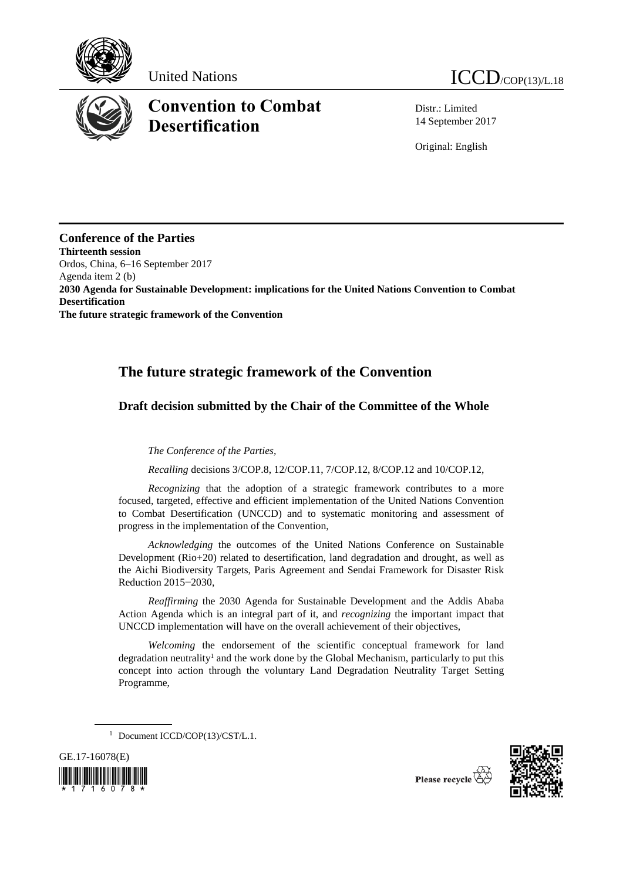

# **Convention to Combat Desertification**

Distr.: Limited 14 September 2017

Original: English

**Conference of the Parties Thirteenth session** Ordos, China, 6–16 September 2017 Agenda item 2 (b) **2030 Agenda for Sustainable Development: implications for the United Nations Convention to Combat Desertification The future strategic framework of the Convention**

# **The future strategic framework of the Convention**

# **Draft decision submitted by the Chair of the Committee of the Whole**

*The Conference of the Parties,* 

*Recalling* decisions 3/COP.8, 12/COP.11, 7/COP.12, 8/COP.12 and 10/COP.12,

*Recognizing* that the adoption of a strategic framework contributes to a more focused, targeted, effective and efficient implementation of the United Nations Convention to Combat Desertification (UNCCD) and to systematic monitoring and assessment of progress in the implementation of the Convention,

*Acknowledging* the outcomes of the United Nations Conference on Sustainable Development (Rio+20) related to desertification, land degradation and drought, as well as the Aichi Biodiversity Targets, Paris Agreement and Sendai Framework for Disaster Risk Reduction 2015−2030,

*Reaffirming* the 2030 Agenda for Sustainable Development and the Addis Ababa Action Agenda which is an integral part of it, and *recognizing* the important impact that UNCCD implementation will have on the overall achievement of their objectives,

*Welcoming* the endorsement of the scientific conceptual framework for land degradation neutrality<sup>1</sup> and the work done by the Global Mechanism, particularly to put this concept into action through the voluntary Land Degradation Neutrality Target Setting Programme,

<sup>&</sup>lt;sup>1</sup> Document ICCD/COP(13)/CST/L.1.





Please recycle  $\overline{\widetilde{C}}$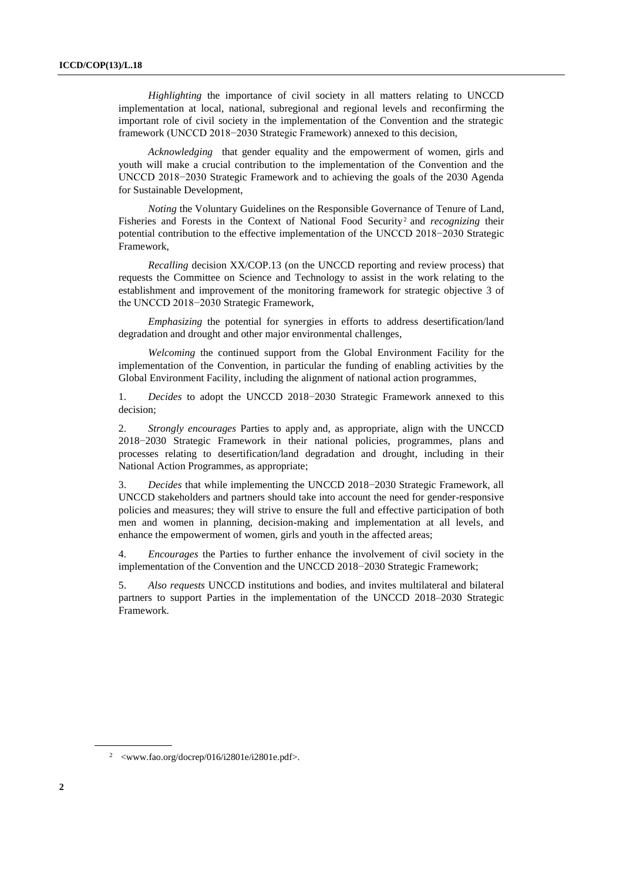*Highlighting* the importance of civil society in all matters relating to UNCCD implementation at local, national, subregional and regional levels and reconfirming the important role of civil society in the implementation of the Convention and the strategic framework (UNCCD 2018−2030 Strategic Framework) annexed to this decision,

*Acknowledging* that gender equality and the empowerment of women, girls and youth will make a crucial contribution to the implementation of the Convention and the UNCCD 2018−2030 Strategic Framework and to achieving the goals of the 2030 Agenda for Sustainable Development,

*Noting* the Voluntary Guidelines on the Responsible Governance of Tenure of Land, Fisheries and Forests in the Context of National Food Security<sup>2</sup> and *recognizing* their potential contribution to the effective implementation of the UNCCD 2018−2030 Strategic Framework,

*Recalling* decision XX/COP.13 (on the UNCCD reporting and review process) that requests the Committee on Science and Technology to assist in the work relating to the establishment and improvement of the monitoring framework for strategic objective 3 of the UNCCD 2018−2030 Strategic Framework,

*Emphasizing* the potential for synergies in efforts to address desertification/land degradation and drought and other major environmental challenges,

*Welcoming* the continued support from the Global Environment Facility for the implementation of the Convention, in particular the funding of enabling activities by the Global Environment Facility, including the alignment of national action programmes,

1. *Decides* to adopt the UNCCD 2018−2030 Strategic Framework annexed to this decision;

2. *Strongly encourages* Parties to apply and, as appropriate, align with the UNCCD 2018−2030 Strategic Framework in their national policies, programmes, plans and processes relating to desertification/land degradation and drought, including in their National Action Programmes, as appropriate;

3. *Decides* that while implementing the UNCCD 2018−2030 Strategic Framework, all UNCCD stakeholders and partners should take into account the need for gender-responsive policies and measures; they will strive to ensure the full and effective participation of both men and women in planning, decision-making and implementation at all levels, and enhance the empowerment of women, girls and youth in the affected areas;

4. *Encourages* the Parties to further enhance the involvement of civil society in the implementation of the Convention and the UNCCD 2018−2030 Strategic Framework;

5. *Also requests* UNCCD institutions and bodies, and invites multilateral and bilateral partners to support Parties in the implementation of the UNCCD 2018–2030 Strategic Framework.

<sup>2</sup> <www.fao.org/docrep/016/i2801e/i2801e.pdf>.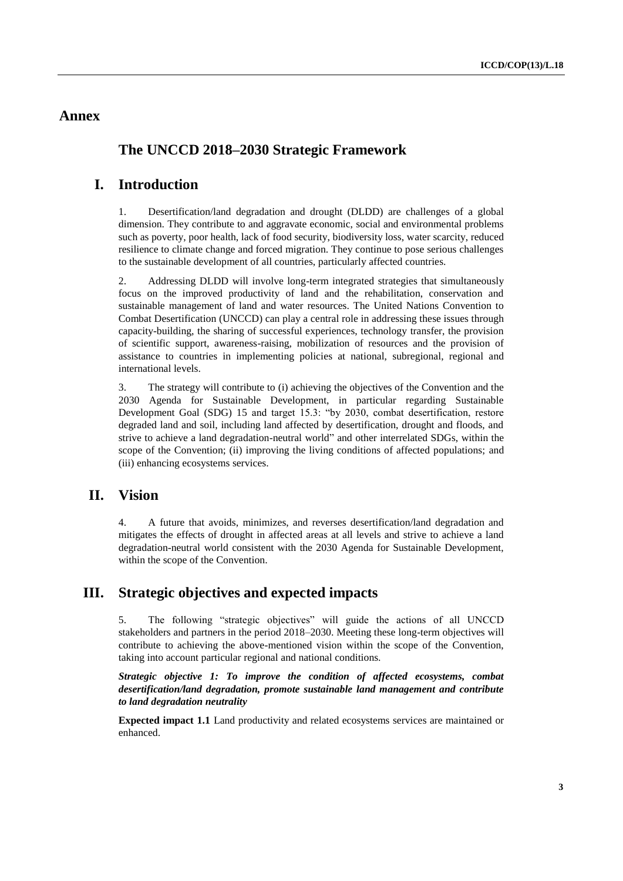### **Annex**

# **The UNCCD 2018–2030 Strategic Framework**

# **I. Introduction**

1. Desertification/land degradation and drought (DLDD) are challenges of a global dimension. They contribute to and aggravate economic, social and environmental problems such as poverty, poor health, lack of food security, biodiversity loss, water scarcity, reduced resilience to climate change and forced migration. They continue to pose serious challenges to the sustainable development of all countries, particularly affected countries.

2. Addressing DLDD will involve long-term integrated strategies that simultaneously focus on the improved productivity of land and the rehabilitation, conservation and sustainable management of land and water resources. The United Nations Convention to Combat Desertification (UNCCD) can play a central role in addressing these issues through capacity-building, the sharing of successful experiences, technology transfer, the provision of scientific support, awareness-raising, mobilization of resources and the provision of assistance to countries in implementing policies at national, subregional, regional and international levels.

3. The strategy will contribute to (i) achieving the objectives of the Convention and the 2030 Agenda for Sustainable Development, in particular regarding Sustainable Development Goal (SDG) 15 and target 15.3: "by 2030, combat desertification, restore degraded land and soil, including land affected by desertification, drought and floods, and strive to achieve a land degradation-neutral world" and other interrelated SDGs, within the scope of the Convention; (ii) improving the living conditions of affected populations; and (iii) enhancing ecosystems services.

### **II. Vision**

4. A future that avoids, minimizes, and reverses desertification/land degradation and mitigates the effects of drought in affected areas at all levels and strive to achieve a land degradation-neutral world consistent with the 2030 Agenda for Sustainable Development, within the scope of the Convention.

### **III. Strategic objectives and expected impacts**

5. The following "strategic objectives" will guide the actions of all UNCCD stakeholders and partners in the period 2018–2030. Meeting these long-term objectives will contribute to achieving the above-mentioned vision within the scope of the Convention, taking into account particular regional and national conditions.

*Strategic objective 1: To improve the condition of affected ecosystems, combat desertification/land degradation, promote sustainable land management and contribute to land degradation neutrality* 

**Expected impact 1.1** Land productivity and related ecosystems services are maintained or enhanced.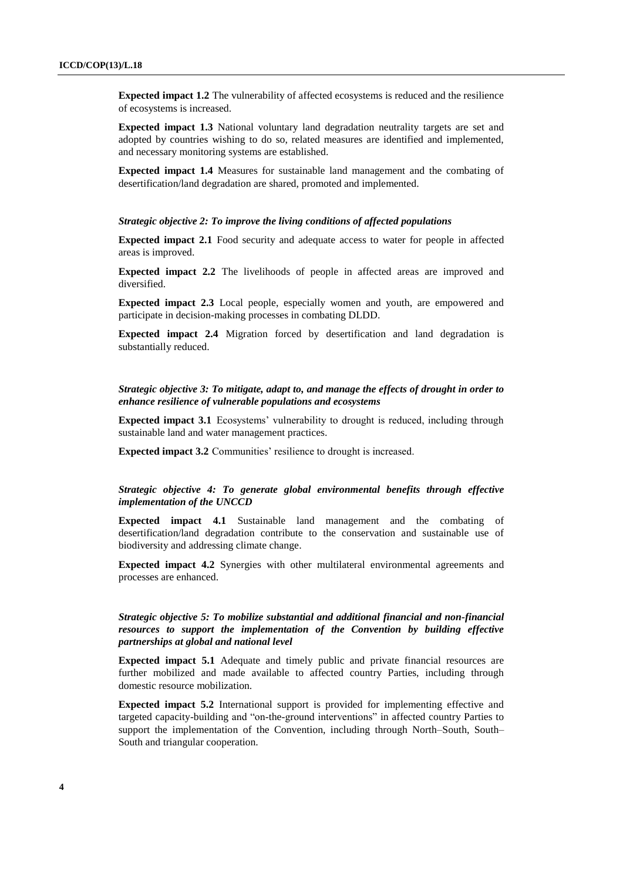**Expected impact 1.2** The vulnerability of affected ecosystems is reduced and the resilience of ecosystems is increased.

**Expected impact 1.3** National voluntary land degradation neutrality targets are set and adopted by countries wishing to do so, related measures are identified and implemented, and necessary monitoring systems are established.

**Expected impact 1.4** Measures for sustainable land management and the combating of desertification/land degradation are shared, promoted and implemented.

#### *Strategic objective 2: To improve the living conditions of affected populations*

**Expected impact 2.1** Food security and adequate access to water for people in affected areas is improved.

**Expected impact 2.2** The livelihoods of people in affected areas are improved and diversified.

**Expected impact 2.3** Local people, especially women and youth, are empowered and participate in decision-making processes in combating DLDD.

**Expected impact 2.4** Migration forced by desertification and land degradation is substantially reduced.

#### *Strategic objective 3: To mitigate, adapt to, and manage the effects of drought in order to enhance resilience of vulnerable populations and ecosystems*

**Expected impact 3.1** Ecosystems' vulnerability to drought is reduced, including through sustainable land and water management practices.

**Expected impact 3.2** Communities' resilience to drought is increased.

#### *Strategic objective 4: To generate global environmental benefits through effective implementation of the UNCCD*

**Expected impact 4.1** Sustainable land management and the combating of desertification/land degradation contribute to the conservation and sustainable use of biodiversity and addressing climate change.

**Expected impact 4.2** Synergies with other multilateral environmental agreements and processes are enhanced.

#### *Strategic objective 5: To mobilize substantial and additional financial and non-financial resources to support the implementation of the Convention by building effective partnerships at global and national level*

**Expected impact 5.1** Adequate and timely public and private financial resources are further mobilized and made available to affected country Parties, including through domestic resource mobilization.

**Expected impact 5.2** International support is provided for implementing effective and targeted capacity-building and "on-the-ground interventions" in affected country Parties to support the implementation of the Convention, including through North–South, South– South and triangular cooperation.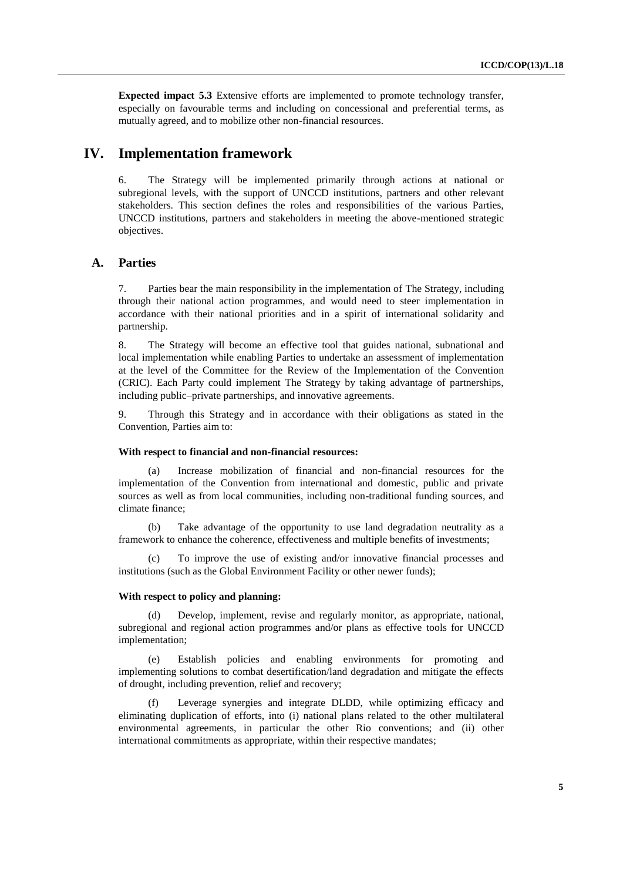**Expected impact 5.3** Extensive efforts are implemented to promote technology transfer, especially on favourable terms and including on concessional and preferential terms, as mutually agreed, and to mobilize other non-financial resources.

### **IV. Implementation framework**

6. The Strategy will be implemented primarily through actions at national or subregional levels, with the support of UNCCD institutions, partners and other relevant stakeholders. This section defines the roles and responsibilities of the various Parties, UNCCD institutions, partners and stakeholders in meeting the above-mentioned strategic objectives.

#### **A. Parties**

7. Parties bear the main responsibility in the implementation of The Strategy, including through their national action programmes, and would need to steer implementation in accordance with their national priorities and in a spirit of international solidarity and partnership.

8. The Strategy will become an effective tool that guides national, subnational and local implementation while enabling Parties to undertake an assessment of implementation at the level of the Committee for the Review of the Implementation of the Convention (CRIC). Each Party could implement The Strategy by taking advantage of partnerships, including public–private partnerships, and innovative agreements.

9. Through this Strategy and in accordance with their obligations as stated in the Convention, Parties aim to:

#### **With respect to financial and non-financial resources:**

(a) Increase mobilization of financial and non-financial resources for the implementation of the Convention from international and domestic, public and private sources as well as from local communities, including non-traditional funding sources, and climate finance;

(b) Take advantage of the opportunity to use land degradation neutrality as a framework to enhance the coherence, effectiveness and multiple benefits of investments;

To improve the use of existing and/or innovative financial processes and institutions (such as the Global Environment Facility or other newer funds);

#### **With respect to policy and planning:**

(d) Develop, implement, revise and regularly monitor, as appropriate, national, subregional and regional action programmes and/or plans as effective tools for UNCCD implementation;

(e) Establish policies and enabling environments for promoting and implementing solutions to combat desertification/land degradation and mitigate the effects of drought, including prevention, relief and recovery;

(f) Leverage synergies and integrate DLDD, while optimizing efficacy and eliminating duplication of efforts, into (i) national plans related to the other multilateral environmental agreements, in particular the other Rio conventions; and (ii) other international commitments as appropriate, within their respective mandates;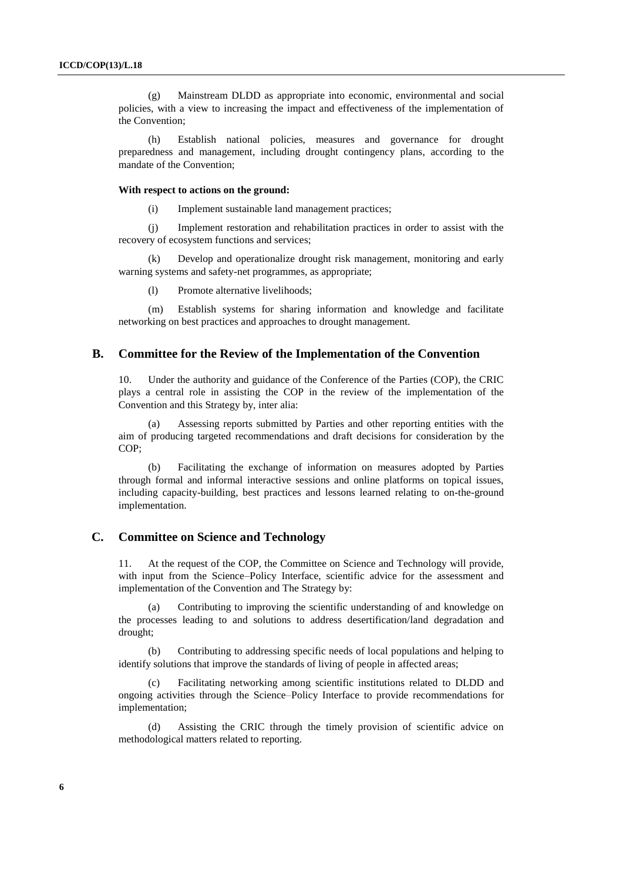(g) Mainstream DLDD as appropriate into economic, environmental and social policies, with a view to increasing the impact and effectiveness of the implementation of the Convention;

(h) Establish national policies, measures and governance for drought preparedness and management, including drought contingency plans, according to the mandate of the Convention;

#### **With respect to actions on the ground:**

(i) Implement sustainable land management practices;

(j) Implement restoration and rehabilitation practices in order to assist with the recovery of ecosystem functions and services;

(k) Develop and operationalize drought risk management, monitoring and early warning systems and safety-net programmes, as appropriate;

(l) Promote alternative livelihoods;

(m) Establish systems for sharing information and knowledge and facilitate networking on best practices and approaches to drought management.

#### **B. Committee for the Review of the Implementation of the Convention**

10. Under the authority and guidance of the Conference of the Parties (COP), the CRIC plays a central role in assisting the COP in the review of the implementation of the Convention and this Strategy by, inter alia:

(a) Assessing reports submitted by Parties and other reporting entities with the aim of producing targeted recommendations and draft decisions for consideration by the COP;

Facilitating the exchange of information on measures adopted by Parties through formal and informal interactive sessions and online platforms on topical issues, including capacity-building, best practices and lessons learned relating to on-the-ground implementation.

#### **C. Committee on Science and Technology**

11. At the request of the COP, the Committee on Science and Technology will provide, with input from the Science–Policy Interface, scientific advice for the assessment and implementation of the Convention and The Strategy by:

Contributing to improving the scientific understanding of and knowledge on the processes leading to and solutions to address desertification/land degradation and drought;

Contributing to addressing specific needs of local populations and helping to identify solutions that improve the standards of living of people in affected areas;

(c) Facilitating networking among scientific institutions related to DLDD and ongoing activities through the Science–Policy Interface to provide recommendations for implementation;

(d) Assisting the CRIC through the timely provision of scientific advice on methodological matters related to reporting.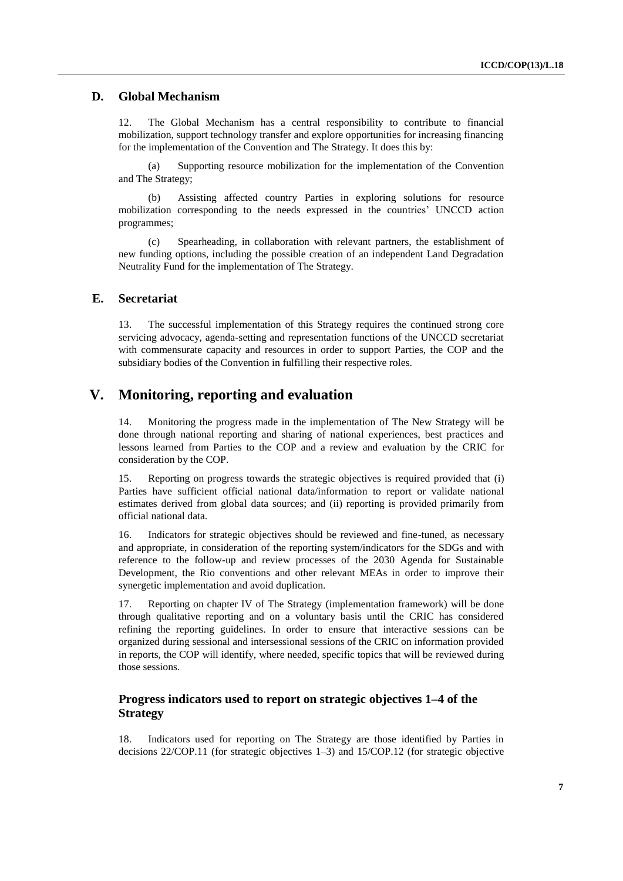### **D. Global Mechanism**

12. The Global Mechanism has a central responsibility to contribute to financial mobilization, support technology transfer and explore opportunities for increasing financing for the implementation of the Convention and The Strategy. It does this by:

(a) Supporting resource mobilization for the implementation of the Convention and The Strategy;

(b) Assisting affected country Parties in exploring solutions for resource mobilization corresponding to the needs expressed in the countries' UNCCD action programmes;

(c) Spearheading, in collaboration with relevant partners, the establishment of new funding options, including the possible creation of an independent Land Degradation Neutrality Fund for the implementation of The Strategy.

#### **E. Secretariat**

13. The successful implementation of this Strategy requires the continued strong core servicing advocacy, agenda-setting and representation functions of the UNCCD secretariat with commensurate capacity and resources in order to support Parties, the COP and the subsidiary bodies of the Convention in fulfilling their respective roles.

### **V. Monitoring, reporting and evaluation**

14. Monitoring the progress made in the implementation of The New Strategy will be done through national reporting and sharing of national experiences, best practices and lessons learned from Parties to the COP and a review and evaluation by the CRIC for consideration by the COP.

15. Reporting on progress towards the strategic objectives is required provided that (i) Parties have sufficient official national data/information to report or validate national estimates derived from global data sources; and (ii) reporting is provided primarily from official national data.

16. Indicators for strategic objectives should be reviewed and fine-tuned, as necessary and appropriate, in consideration of the reporting system/indicators for the SDGs and with reference to the follow-up and review processes of the 2030 Agenda for Sustainable Development, the Rio conventions and other relevant MEAs in order to improve their synergetic implementation and avoid duplication.

17. Reporting on chapter IV of The Strategy (implementation framework) will be done through qualitative reporting and on a voluntary basis until the CRIC has considered refining the reporting guidelines. In order to ensure that interactive sessions can be organized during sessional and intersessional sessions of the CRIC on information provided in reports, the COP will identify, where needed, specific topics that will be reviewed during those sessions.

### **Progress indicators used to report on strategic objectives 1–4 of the Strategy**

18. Indicators used for reporting on The Strategy are those identified by Parties in decisions 22/COP.11 (for strategic objectives 1–3) and 15/COP.12 (for strategic objective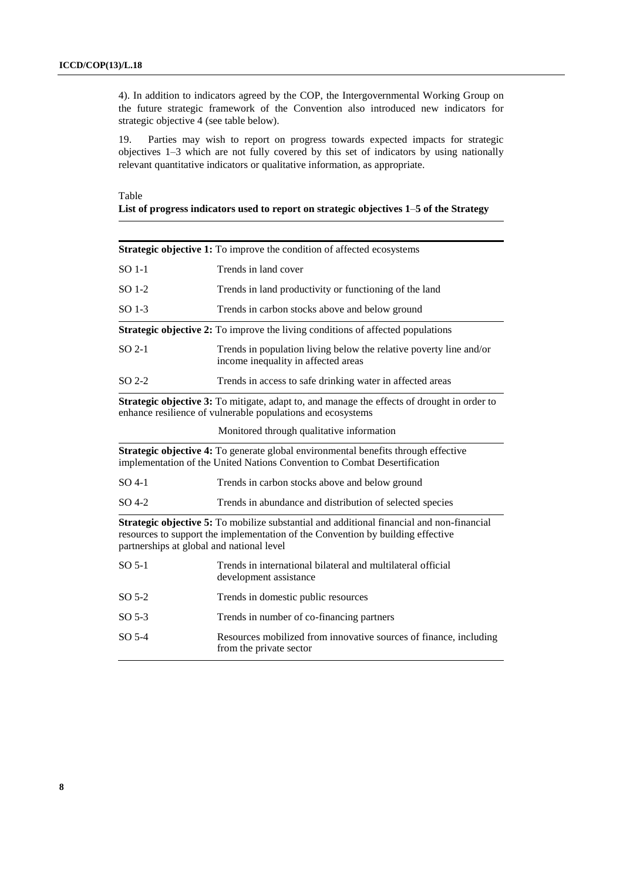4). In addition to indicators agreed by the COP, the Intergovernmental Working Group on the future strategic framework of the Convention also introduced new indicators for strategic objective 4 (see table below).

19. Parties may wish to report on progress towards expected impacts for strategic objectives 1–3 which are not fully covered by this set of indicators by using nationally relevant quantitative indicators or qualitative information, as appropriate.

### Table

#### **List of progress indicators used to report on strategic objectives 1**–**5 of the Strategy**

|         | <b>Strategic objective 1:</b> To improve the condition of affected ecosystems                                                                                                                                             |
|---------|---------------------------------------------------------------------------------------------------------------------------------------------------------------------------------------------------------------------------|
| SO 1-1  | Trends in land cover                                                                                                                                                                                                      |
| $SO1-2$ | Trends in land productivity or functioning of the land                                                                                                                                                                    |
| $SO1-3$ | Trends in carbon stocks above and below ground                                                                                                                                                                            |
|         | <b>Strategic objective 2:</b> To improve the living conditions of affected populations                                                                                                                                    |
| $SO2-1$ | Trends in population living below the relative poverty line and/or<br>income inequality in affected areas                                                                                                                 |
| $SO2-2$ | Trends in access to safe drinking water in affected areas                                                                                                                                                                 |
|         | <b>Strategic objective 3:</b> To mitigate, adapt to, and manage the effects of drought in order to<br>enhance resilience of vulnerable populations and ecosystems                                                         |
|         | Monitored through qualitative information                                                                                                                                                                                 |
|         | Strategic objective 4: To generate global environmental benefits through effective<br>implementation of the United Nations Convention to Combat Desertification                                                           |
| $SO4-1$ | Trends in carbon stocks above and below ground                                                                                                                                                                            |
| SO 4-2  | Trends in abundance and distribution of selected species                                                                                                                                                                  |
|         | Strategic objective 5: To mobilize substantial and additional financial and non-financial<br>resources to support the implementation of the Convention by building effective<br>partnerships at global and national level |
| $SO5-1$ | Trends in international bilateral and multilateral official<br>development assistance                                                                                                                                     |
| $SO5-2$ | Trends in domestic public resources                                                                                                                                                                                       |
| $SO5-3$ | Trends in number of co-financing partners                                                                                                                                                                                 |
| $SO5-4$ | Resources mobilized from innovative sources of finance, including<br>from the private sector                                                                                                                              |